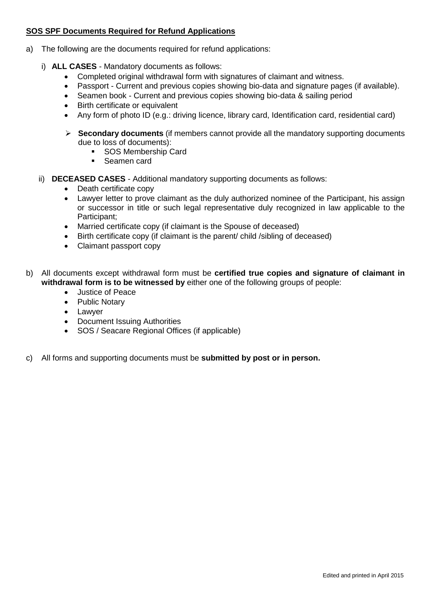## **SOS SPF Documents Required for Refund Applications**

- a) The following are the documents required for refund applications:
	- i) **ALL CASES** Mandatory documents as follows:
		- Completed original withdrawal form with signatures of claimant and witness.
		- Passport Current and previous copies showing bio-data and signature pages (if available).
		- Seamen book Current and previous copies showing bio-data & sailing period
		- Birth certificate or equivalent
		- Any form of photo ID (e.g.: driving licence, library card, Identification card, residential card)
		- **Secondary documents** (if members cannot provide all the mandatory supporting documents due to loss of documents):
			- **SOS Membership Card**
			- Seamen card
	- ii) **DECEASED CASES** Additional mandatory supporting documents as follows:
		- Death certificate copy
		- Lawyer letter to prove claimant as the duly authorized nominee of the Participant, his assign or successor in title or such legal representative duly recognized in law applicable to the Participant;
		- Married certificate copy (if claimant is the Spouse of deceased)
		- Birth certificate copy (if claimant is the parent/ child /sibling of deceased)
		- Claimant passport copy
- b) All documents except withdrawal form must be **certified true copies and signature of claimant in withdrawal form is to be witnessed by** either one of the following groups of people:
	- Justice of Peace
	- Public Notary
	- Lawyer
	- Document Issuing Authorities
	- SOS / Seacare Regional Offices (if applicable)
- c) All forms and supporting documents must be **submitted by post or in person.**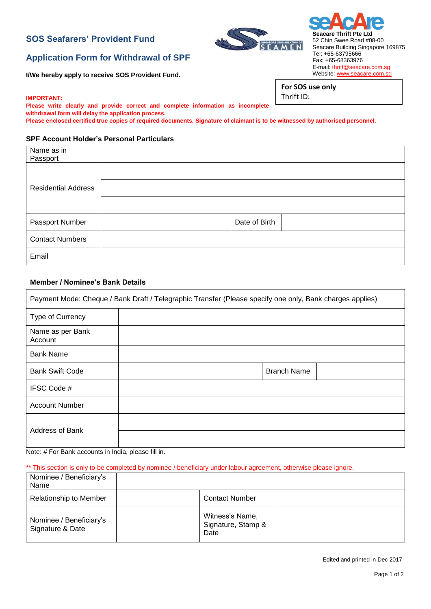## **SOS Seafarers' Provident Fund**

# GAPORE ORGANISATION OF<br>F A M F N

**Seacare Thrift Pte Ltd** 52 Chin Swee Road #08-00 Seacare Building Singapore 169875 Tel: +65-63795666 Fax: +65-68363976 E-mail: [thrift@seacare.com.sg](mailto:thrift@seacare.com.sg) Website: [www.seacare.com.sg](http://www.seacare.com.sg/)

**For SOS use only**

Thrift ID:

# **Application Form for Withdrawal of SPF**

**I/We hereby apply to receive SOS Provident Fund.**

#### **IMPORTANT:**

**Please write clearly and provide correct and complete information as incomplete withdrawal form will delay the application process.**

**Please enclosed certified true copies of required documents. Signature of claimant is to be witnessed by authorised personnel.**

## **SPF Account Holder's Personal Particulars**

| Name as in                 |               |  |
|----------------------------|---------------|--|
| Passport                   |               |  |
|                            |               |  |
| <b>Residential Address</b> |               |  |
|                            |               |  |
| Passport Number            | Date of Birth |  |
| <b>Contact Numbers</b>     |               |  |
| Email                      |               |  |

## **Member / Nominee's Bank Details**

| Payment Mode: Cheque / Bank Draft / Telegraphic Transfer (Please specify one only, Bank charges applies) |  |                    |  |  |
|----------------------------------------------------------------------------------------------------------|--|--------------------|--|--|
| Type of Currency                                                                                         |  |                    |  |  |
| Name as per Bank<br>Account                                                                              |  |                    |  |  |
| <b>Bank Name</b>                                                                                         |  |                    |  |  |
| <b>Bank Swift Code</b>                                                                                   |  | <b>Branch Name</b> |  |  |
| IFSC Code #                                                                                              |  |                    |  |  |
| <b>Account Number</b>                                                                                    |  |                    |  |  |
| <b>Address of Bank</b>                                                                                   |  |                    |  |  |

Note: # For Bank accounts in India, please fill in.

\*\* This section is only to be completed by nominee / beneficiary under labour agreement, otherwise please ignore.

| Nominee / Beneficiary's<br>Name             |                                               |  |
|---------------------------------------------|-----------------------------------------------|--|
| Relationship to Member                      | <b>Contact Number</b>                         |  |
| Nominee / Beneficiary's<br>Signature & Date | Witness's Name,<br>Signature, Stamp &<br>Date |  |

Edited and printed in Dec 2017